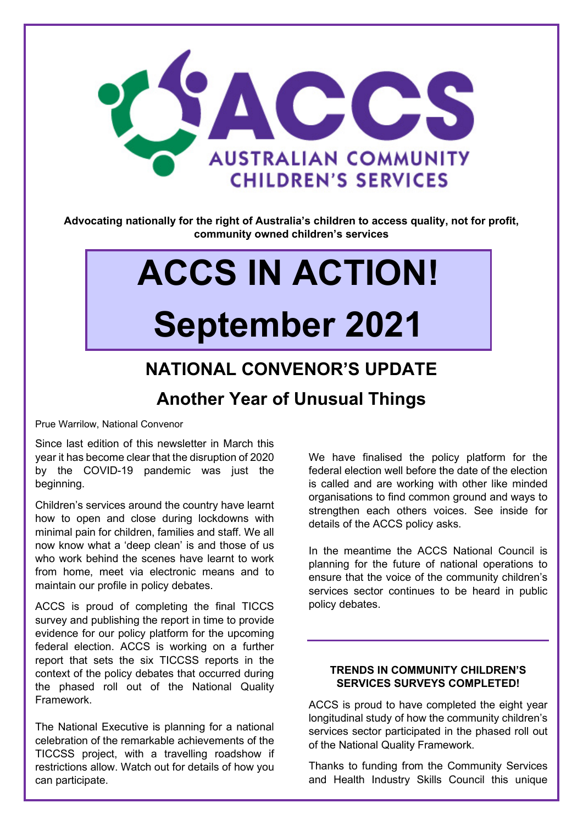

**Advocating nationally for the right of Australia's children to access quality, not for profit, community owned children's services**

# **ACCS IN ACTION! September 2021**

## **NATIONAL CONVENOR'S UPDATE Another Year of Unusual Things**

Prue Warrilow, National Convenor

Since last edition of this newsletter in March this year it has become clear that the disruption of 2020 by the COVID-19 pandemic was just the beginning.

Children's services around the country have learnt how to open and close during lockdowns with minimal pain for children, families and staff. We all now know what a 'deep clean' is and those of us who work behind the scenes have learnt to work from home, meet via electronic means and to maintain our profile in policy debates.

ACCS is proud of completing the final TICCS survey and publishing the report in time to provide evidence for our policy platform for the upcoming federal election. ACCS is working on a further report that sets the six TICCSS reports in the context of the policy debates that occurred during the phased roll out of the National Quality Framework.

The National Executive is planning for a national celebration of the remarkable achievements of the TICCSS project, with a travelling roadshow if restrictions allow. Watch out for details of how you can participate.

We have finalised the policy platform for the federal election well before the date of the election is called and are working with other like minded organisations to find common ground and ways to strengthen each others voices. See inside for details of the ACCS policy asks.

In the meantime the ACCS National Council is planning for the future of national operations to ensure that the voice of the community children's services sector continues to be heard in public policy debates.

#### **TRENDS IN COMMUNITY CHILDREN'S SERVICES SURVEYS COMPLETED!**

ACCS is proud to have completed the eight year longitudinal study of how the community children's services sector participated in the phased roll out of the National Quality Framework.

Thanks to funding from the Community Services and Health Industry Skills Council this unique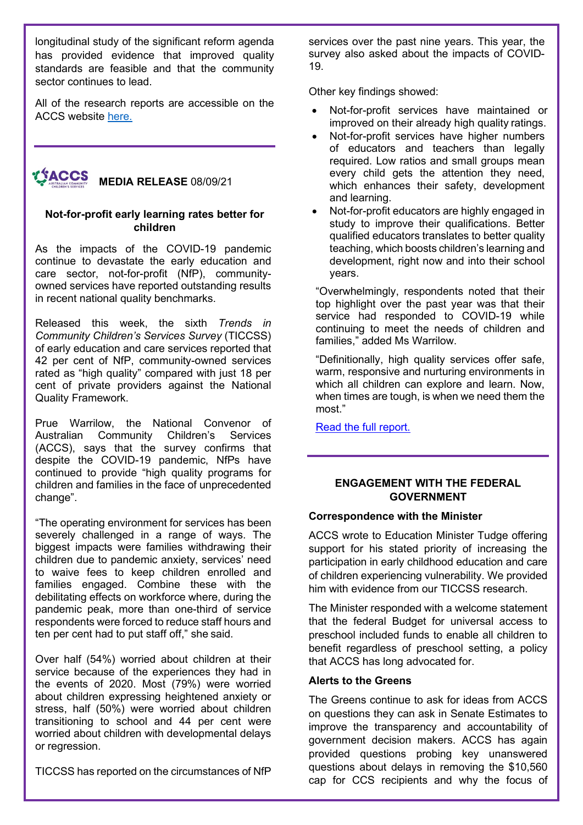longitudinal study of the significant reform agenda has provided evidence that improved quality standards are feasible and that the community sector continues to lead.

All of the research reports are accessible on the ACCS website [here.](http://ausccs.org.au/ticcss-reports/)

#### **TACCS MEDIA RELEASE** 08/09/21

#### **Not-for-profit early learning rates better for children**

As the impacts of the COVID-19 pandemic continue to devastate the early education and care sector, not-for-profit (NfP), communityowned services have reported outstanding results in recent national quality benchmarks.

Released this week, the sixth *Trends in Community Children's Services Survey* (TICCSS) of early education and care services reported that 42 per cent of NfP, community-owned services rated as "high quality" compared with just 18 per cent of private providers against the National Quality Framework.

Prue Warrilow, the National Convenor of Australian Community Children's Services (ACCS), says that the survey confirms that despite the COVID-19 pandemic, NfPs have continued to provide "high quality programs for children and families in the face of unprecedented change".

"The operating environment for services has been severely challenged in a range of ways. The biggest impacts were families withdrawing their children due to pandemic anxiety, services' need to waive fees to keep children enrolled and families engaged. Combine these with the debilitating effects on workforce where, during the pandemic peak, more than one-third of service respondents were forced to reduce staff hours and ten per cent had to put staff off," she said.

Over half (54%) worried about children at their service because of the experiences they had in the events of 2020. Most (79%) were worried about children expressing heightened anxiety or stress, half (50%) were worried about children transitioning to school and 44 per cent were worried about children with developmental delays or regression.

TICCSS has reported on the circumstances of NfP

services over the past nine years. This year, the survey also asked about the impacts of COVID-19.

Other key findings showed:

- Not-for-profit services have maintained or improved on their already high quality ratings.
- Not-for-profit services have higher numbers of educators and teachers than legally required. Low ratios and small groups mean every child gets the attention they need, which enhances their safety, development and learning.
- Not-for-profit educators are highly engaged in study to improve their qualifications. Better qualified educators translates to better quality teaching, which boosts children's learning and development, right now and into their school years.

"Overwhelmingly, respondents noted that their top highlight over the past year was that their service had responded to COVID-19 while continuing to meet the needs of children and families," added Ms Warrilow.

"Definitionally, high quality services offer safe, warm, responsive and nurturing environments in which all children can explore and learn. Now, when times are tough, is when we need them the most."

[Read the full report.](http://ausccs.org.au/wp-content/uploads/2021/08/TICCS_2021_wave6.pdf)

#### **ENGAGEMENT WITH THE FEDERAL GOVERNMENT**

#### **Correspondence with the Minister**

ACCS wrote to Education Minister Tudge offering support for his stated priority of increasing the participation in early childhood education and care of children experiencing vulnerability. We provided him with evidence from our TICCSS research.

The Minister responded with a welcome statement that the federal Budget for universal access to preschool included funds to enable all children to benefit regardless of preschool setting, a policy that ACCS has long advocated for.

#### **Alerts to the Greens**

The Greens continue to ask for ideas from ACCS on questions they can ask in Senate Estimates to improve the transparency and accountability of government decision makers. ACCS has again provided questions probing key unanswered questions about delays in removing the \$10,560 cap for CCS recipients and why the focus of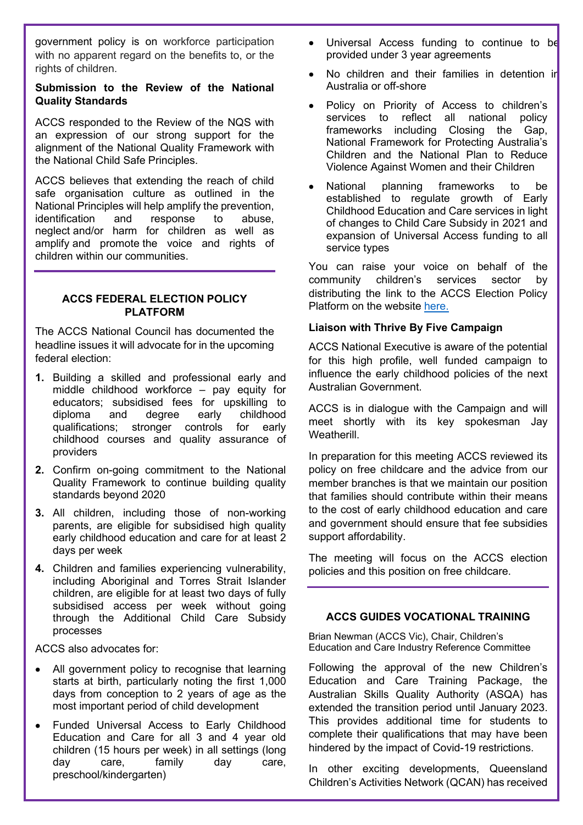government policy is on workforce participation with no apparent regard on the benefits to, or the rights of children.

#### **Submission to the Review of the National Quality Standards**

ACCS responded to the Review of the NQS with an expression of our strong support for the alignment of the National Quality Framework with the National Child Safe Principles.

ACCS believes that extending the reach of child safe organisation culture as outlined in the National Principles will help amplify the prevention, identification and response to abuse, neglect and/or harm for children as well as amplify and promote the voice and rights of children within our communities.

#### **ACCS FEDERAL ELECTION POLICY PLATFORM**

The ACCS National Council has documented the headline issues it will advocate for in the upcoming federal election:

- **1.** Building a skilled and professional early and middle childhood workforce – pay equity for educators; subsidised fees for upskilling to diploma and degree early childhood qualifications; stronger controls for early childhood courses and quality assurance of providers
- **2.** Confirm on-going commitment to the National Quality Framework to continue building quality standards beyond 2020
- **3.** All children, including those of non-working parents, are eligible for subsidised high quality early childhood education and care for at least 2 days per week
- **4.** Children and families experiencing vulnerability, including Aboriginal and Torres Strait Islander children, are eligible for at least two days of fully subsidised access per week without going through the Additional Child Care Subsidy processes

ACCS also advocates for:

- All government policy to recognise that learning starts at birth, particularly noting the first 1,000 days from conception to 2 years of age as the most important period of child development
- Funded Universal Access to Early Childhood Education and Care for all 3 and 4 year old children (15 hours per week) in all settings (long day care, family day care, preschool/kindergarten)
- Universal Access funding to continue to be provided under 3 year agreements
- No children and their families in detention in Australia or off-shore
- Policy on Priority of Access to children's services to reflect all national policy frameworks including Closing the Gap, National Framework for Protecting Australia's Children and the National Plan to Reduce Violence Against Women and their Children
- National planning frameworks to be established to regulate growth of Early Childhood Education and Care services in light of changes to Child Care Subsidy in 2021 and expansion of Universal Access funding to all service types

You can raise your voice on behalf of the community children's services sector by distributing the link to the ACCS Election Policy Platform on the website [here.](http://ausccs.org.au/position-papers/)

#### **Liaison with Thrive By Five Campaign**

ACCS National Executive is aware of the potential for this high profile, well funded campaign to influence the early childhood policies of the next Australian Government.

ACCS is in dialogue with the Campaign and will meet shortly with its key spokesman Jay Weatherill.

In preparation for this meeting ACCS reviewed its policy on free childcare and the advice from our member branches is that we maintain our position that families should contribute within their means to the cost of early childhood education and care and government should ensure that fee subsidies support affordability.

The meeting will focus on the ACCS election policies and this position on free childcare.

### **ACCS GUIDES VOCATIONAL TRAINING**

Brian Newman (ACCS Vic), Chair, Children's Education and Care Industry Reference Committee

Following the approval of the new Children's Education and Care Training Package, the Australian Skills Quality Authority (ASQA) has extended the transition period until January 2023. This provides additional time for students to complete their qualifications that may have been hindered by the impact of Covid-19 restrictions.

In other exciting developments, Queensland Children's Activities Network (QCAN) has received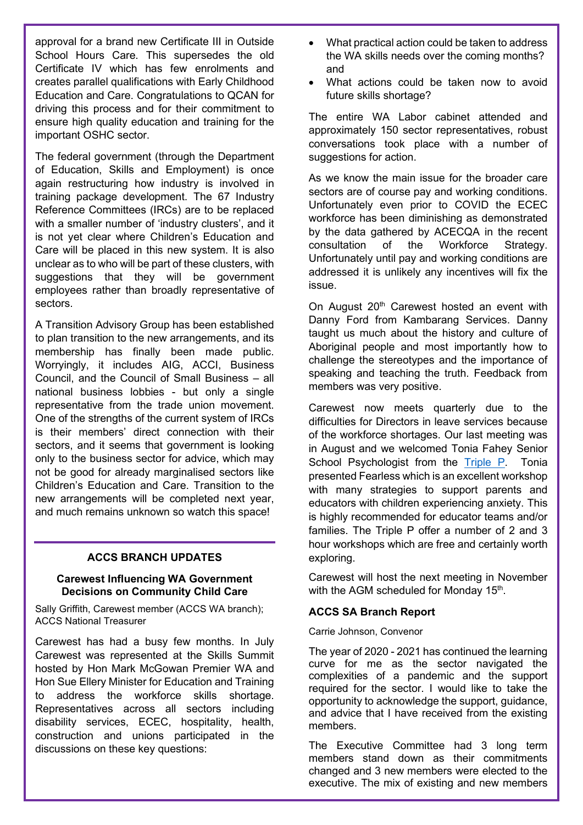approval for a brand new Certificate III in Outside School Hours Care. This supersedes the old Certificate IV which has few enrolments and creates parallel qualifications with Early Childhood Education and Care. Congratulations to QCAN for driving this process and for their commitment to ensure high quality education and training for the important OSHC sector.

The federal government (through the Department of Education, Skills and Employment) is once again restructuring how industry is involved in training package development. The 67 Industry Reference Committees (IRCs) are to be replaced with a smaller number of 'industry clusters', and it is not yet clear where Children's Education and Care will be placed in this new system. It is also unclear as to who will be part of these clusters, with suggestions that they will be government employees rather than broadly representative of sectors.

A Transition Advisory Group has been established to plan transition to the new arrangements, and its membership has finally been made public. Worryingly, it includes AIG, ACCI, Business Council, and the Council of Small Business – all national business lobbies - but only a single representative from the trade union movement. One of the strengths of the current system of IRCs is their members' direct connection with their sectors, and it seems that government is looking only to the business sector for advice, which may not be good for already marginalised sectors like Children's Education and Care. Transition to the new arrangements will be completed next year, and much remains unknown so watch this space!

#### **ACCS BRANCH UPDATES**

#### **Carewest Influencing WA Government Decisions on Community Child Care**

Sally Griffith, Carewest member (ACCS WA branch); ACCS National Treasurer

Carewest has had a busy few months. In July Carewest was represented at the Skills Summit hosted by Hon Mark McGowan Premier WA and Hon Sue Ellery Minister for Education and Training to address the workforce skills shortage. Representatives across all sectors including disability services, ECEC, hospitality, health, construction and unions participated in the discussions on these key questions:

- What practical action could be taken to address the WA skills needs over the coming months? and
- What actions could be taken now to avoid future skills shortage?

The entire WA Labor cabinet attended and approximately 150 sector representatives, robust conversations took place with a number of suggestions for action.

As we know the main issue for the broader care sectors are of course pay and working conditions. Unfortunately even prior to COVID the ECEC workforce has been diminishing as demonstrated by the data gathered by ACECQA in the recent consultation of the Workforce Strategy. Unfortunately until pay and working conditions are addressed it is unlikely any incentives will fix the issue.

On August 20<sup>th</sup> Carewest hosted an event with Danny Ford from Kambarang Services. Danny taught us much about the history and culture of Aboriginal people and most importantly how to challenge the stereotypes and the importance of speaking and teaching the truth. Feedback from members was very positive.

Carewest now meets quarterly due to the difficulties for Directors in leave services because of the workforce shortages. Our last meeting was in August and we welcomed Tonia Fahey Senior School Psychologist from the [Triple P.](https://www.triplep-parenting.net.au/au-uken/find-help/triple-p-parenting-in-western-australia/) Tonia presented Fearless which is an excellent workshop with many strategies to support parents and educators with children experiencing anxiety. This is highly recommended for educator teams and/or families. The Triple P offer a number of 2 and 3 hour workshops which are free and certainly worth exploring.

Carewest will host the next meeting in November with the AGM scheduled for Monday 15<sup>th</sup>.

#### **ACCS SA Branch Report**

Carrie Johnson, Convenor

The year of 2020 - 2021 has continued the learning curve for me as the sector navigated the complexities of a pandemic and the support required for the sector. I would like to take the opportunity to acknowledge the support, guidance, and advice that I have received from the existing members.

The Executive Committee had 3 long term members stand down as their commitments changed and 3 new members were elected to the executive. The mix of existing and new members